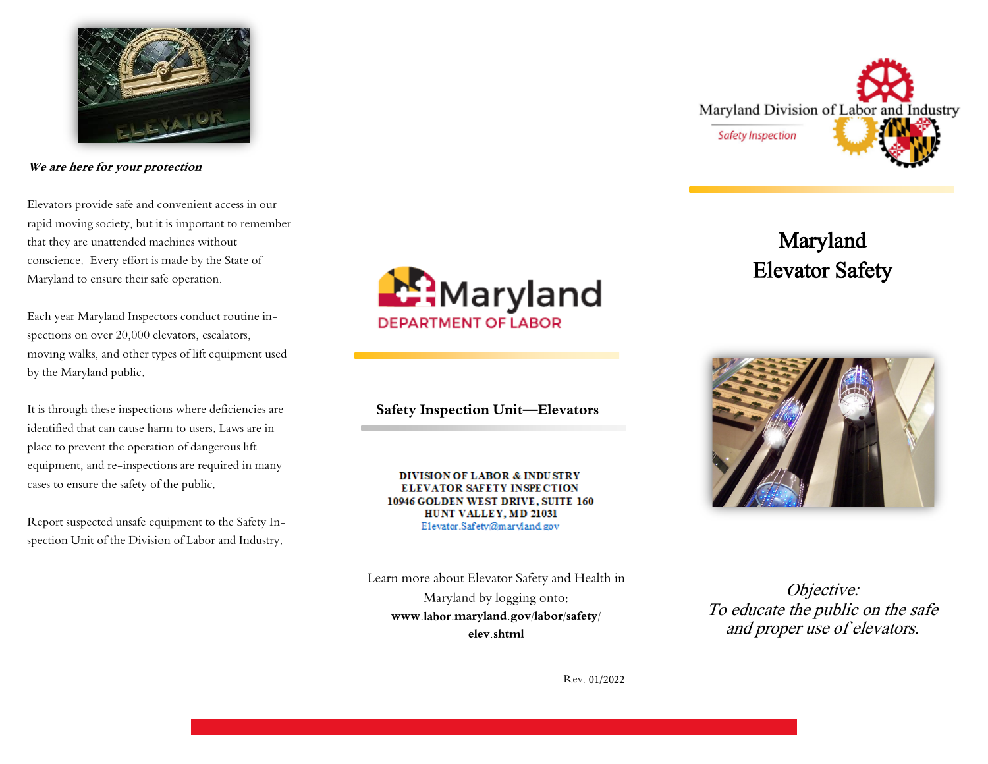

**We are here for your protection** 

Elevators provide safe and convenient access in our rapid moving society, but it is important to remember that they are unattended machines without conscience. Every effort is made by the State of Maryland to ensure their safe operation.

Each year Maryland Inspectors conduct routine inspections on over 20,000 elevators, escalators, moving walks, and other types of lift equipment used by the Maryland public.

It is through these inspections where deficiencies are identified that can cause harm to users. Laws are in place to prevent the operation of dangerous lift equipment, and re-inspections are required in many cases to ensure the safety of the public.

Report suspected unsafe equipment to the Safety Inspection Unit of the Division of Labor and Industry.



**Safety Inspection Unit—Elevators** 

**DIVISION OF LABOR & INDUSTRY ELEVATOR SAFETY INSPECTION** 10946 GOLDEN WEST DRIVE, SUITE 160 HUNT VALLEY, MD 21031 Elevator.Safety@maryland.gov

Learn more about Elevator Safety and Health in Maryland by logging onto: **www.labor.maryland.gov/labor/safety/ elev.shtml** 

Objective: To educate the public on the safe and proper use of elevators.

Rev. 01/2022



Maryland Elevator Safety